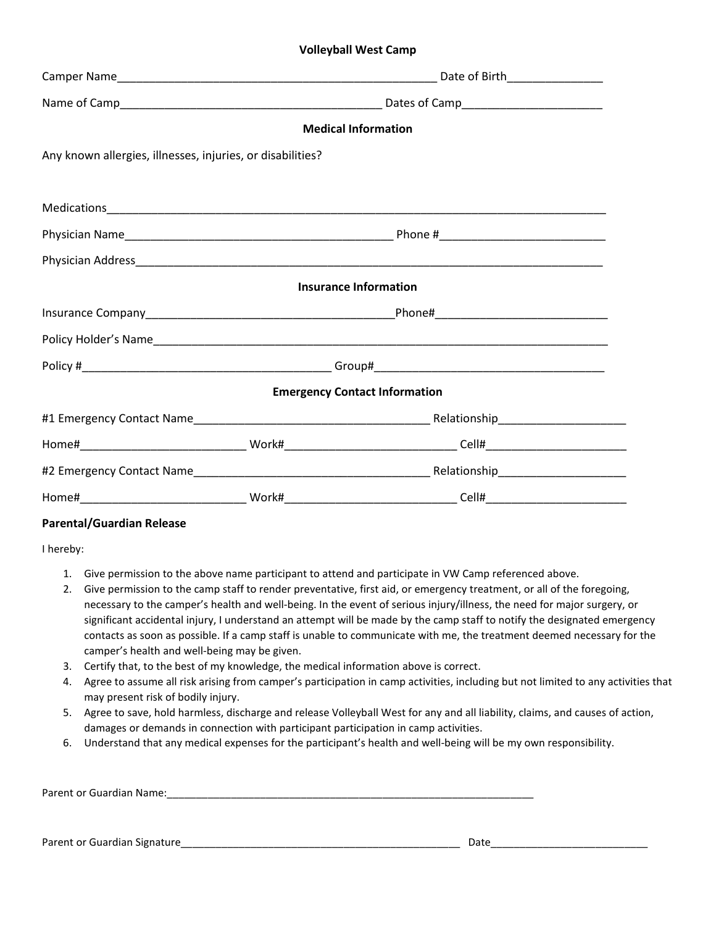## **Volleyball West Camp**

|                                                            |  | <b>Medical Information</b>           |  |  |  |  |  |
|------------------------------------------------------------|--|--------------------------------------|--|--|--|--|--|
| Any known allergies, illnesses, injuries, or disabilities? |  |                                      |  |  |  |  |  |
|                                                            |  |                                      |  |  |  |  |  |
|                                                            |  |                                      |  |  |  |  |  |
|                                                            |  |                                      |  |  |  |  |  |
|                                                            |  |                                      |  |  |  |  |  |
| <b>Insurance Information</b>                               |  |                                      |  |  |  |  |  |
|                                                            |  |                                      |  |  |  |  |  |
|                                                            |  |                                      |  |  |  |  |  |
|                                                            |  |                                      |  |  |  |  |  |
|                                                            |  | <b>Emergency Contact Information</b> |  |  |  |  |  |
|                                                            |  |                                      |  |  |  |  |  |
|                                                            |  |                                      |  |  |  |  |  |
|                                                            |  |                                      |  |  |  |  |  |
|                                                            |  |                                      |  |  |  |  |  |

## **Parental/Guardian Release**

I hereby:

- 1. Give permission to the above name participant to attend and participate in VW Camp referenced above.
- 2. Give permission to the camp staff to render preventative, first aid, or emergency treatment, or all of the foregoing, necessary to the camper's health and well-being. In the event of serious injury/illness, the need for major surgery, or significant accidental injury, I understand an attempt will be made by the camp staff to notify the designated emergency contacts as soon as possible. If a camp staff is unable to communicate with me, the treatment deemed necessary for the camper's health and well-being may be given.
- 3. Certify that, to the best of my knowledge, the medical information above is correct.
- 4. Agree to assume all risk arising from camper's participation in camp activities, including but not limited to any activities that may present risk of bodily injury.
- 5. Agree to save, hold harmless, discharge and release Volleyball West for any and all liability, claims, and causes of action, damages or demands in connection with participant participation in camp activities.
- 6. Understand that any medical expenses for the participant's health and well-being will be my own responsibility.

| Parent or Guardian Name: |  |
|--------------------------|--|
|                          |  |

Parent or Guardian Signature\_\_\_\_\_\_\_\_\_\_\_\_\_\_\_\_\_\_\_\_\_\_\_\_\_\_\_\_\_\_\_\_\_\_\_\_\_\_\_\_\_\_\_\_\_\_\_\_ Date\_\_\_\_\_\_\_\_\_\_\_\_\_\_\_\_\_\_\_\_\_\_\_\_\_\_\_